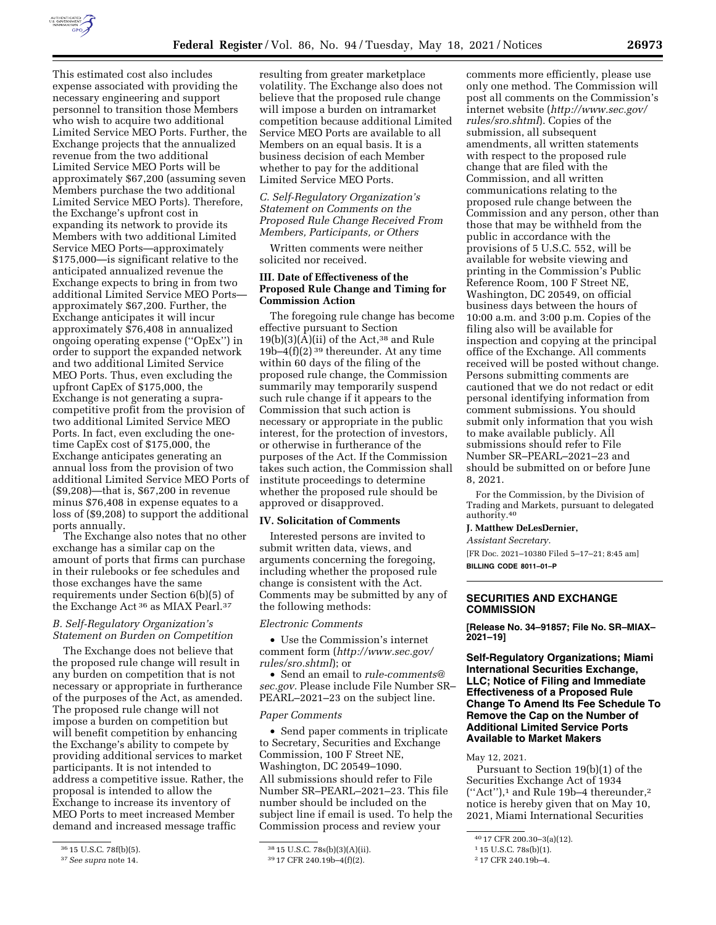

This estimated cost also includes expense associated with providing the necessary engineering and support personnel to transition those Members who wish to acquire two additional Limited Service MEO Ports. Further, the Exchange projects that the annualized revenue from the two additional Limited Service MEO Ports will be approximately \$67,200 (assuming seven Members purchase the two additional Limited Service MEO Ports). Therefore, the Exchange's upfront cost in expanding its network to provide its Members with two additional Limited Service MEO Ports—approximately \$175,000—is significant relative to the anticipated annualized revenue the Exchange expects to bring in from two additional Limited Service MEO Ports approximately \$67,200. Further, the Exchange anticipates it will incur approximately \$76,408 in annualized ongoing operating expense (''OpEx'') in order to support the expanded network and two additional Limited Service MEO Ports. Thus, even excluding the upfront CapEx of \$175,000, the Exchange is not generating a supracompetitive profit from the provision of two additional Limited Service MEO Ports. In fact, even excluding the onetime CapEx cost of \$175,000, the Exchange anticipates generating an annual loss from the provision of two additional Limited Service MEO Ports of (\$9,208)—that is, \$67,200 in revenue minus \$76,408 in expense equates to a loss of (\$9,208) to support the additional ports annually.

The Exchange also notes that no other exchange has a similar cap on the amount of ports that firms can purchase in their rulebooks or fee schedules and those exchanges have the same requirements under Section 6(b)(5) of the Exchange Act 36 as MIAX Pearl.37

## *B. Self-Regulatory Organization's Statement on Burden on Competition*

The Exchange does not believe that the proposed rule change will result in any burden on competition that is not necessary or appropriate in furtherance of the purposes of the Act, as amended. The proposed rule change will not impose a burden on competition but will benefit competition by enhancing the Exchange's ability to compete by providing additional services to market participants. It is not intended to address a competitive issue. Rather, the proposal is intended to allow the Exchange to increase its inventory of MEO Ports to meet increased Member demand and increased message traffic

resulting from greater marketplace volatility. The Exchange also does not believe that the proposed rule change will impose a burden on intramarket competition because additional Limited Service MEO Ports are available to all Members on an equal basis. It is a business decision of each Member whether to pay for the additional Limited Service MEO Ports.

# *C. Self-Regulatory Organization's Statement on Comments on the Proposed Rule Change Received From Members, Participants, or Others*

Written comments were neither solicited nor received.

### **III. Date of Effectiveness of the Proposed Rule Change and Timing for Commission Action**

The foregoing rule change has become effective pursuant to Section  $19(b)(3)(\overline{A})(ii)$  of the Act,<sup>38</sup> and Rule 19b–4 $(f)(2)$ <sup>39</sup> thereunder. At any time within 60 days of the filing of the proposed rule change, the Commission summarily may temporarily suspend such rule change if it appears to the Commission that such action is necessary or appropriate in the public interest, for the protection of investors, or otherwise in furtherance of the purposes of the Act. If the Commission takes such action, the Commission shall institute proceedings to determine whether the proposed rule should be approved or disapproved.

# **IV. Solicitation of Comments**

Interested persons are invited to submit written data, views, and arguments concerning the foregoing, including whether the proposed rule change is consistent with the Act. Comments may be submitted by any of the following methods:

#### *Electronic Comments*

• Use the Commission's internet comment form (*[http://www.sec.gov/](http://www.sec.gov/rules/sro.shtml)  [rules/sro.shtml](http://www.sec.gov/rules/sro.shtml)*); or

• Send an email to *[rule-comments@](mailto:rule-comments@sec.gov) [sec.gov.](mailto:rule-comments@sec.gov)* Please include File Number SR– PEARL–2021–23 on the subject line.

#### *Paper Comments*

• Send paper comments in triplicate to Secretary, Securities and Exchange Commission, 100 F Street NE, Washington, DC 20549–1090. All submissions should refer to File Number SR–PEARL–2021–23. This file number should be included on the subject line if email is used. To help the Commission process and review your

comments more efficiently, please use only one method. The Commission will post all comments on the Commission's internet website (*[http://www.sec.gov/](http://www.sec.gov/rules/sro.shtml)  [rules/sro.shtml](http://www.sec.gov/rules/sro.shtml)*). Copies of the submission, all subsequent amendments, all written statements with respect to the proposed rule change that are filed with the Commission, and all written communications relating to the proposed rule change between the Commission and any person, other than those that may be withheld from the public in accordance with the provisions of 5 U.S.C. 552, will be available for website viewing and printing in the Commission's Public Reference Room, 100 F Street NE, Washington, DC 20549, on official business days between the hours of 10:00 a.m. and 3:00 p.m. Copies of the filing also will be available for inspection and copying at the principal office of the Exchange. All comments received will be posted without change. Persons submitting comments are cautioned that we do not redact or edit personal identifying information from comment submissions. You should submit only information that you wish to make available publicly. All submissions should refer to File Number SR–PEARL–2021–23 and should be submitted on or before June 8, 2021.

For the Commission, by the Division of Trading and Markets, pursuant to delegated authority.40

#### **J. Matthew DeLesDernier,**

*Assistant Secretary.* 

[FR Doc. 2021–10380 Filed 5–17–21; 8:45 am] **BILLING CODE 8011–01–P** 

### **SECURITIES AND EXCHANGE COMMISSION**

**[Release No. 34–91857; File No. SR–MIAX– 2021–19]** 

**Self-Regulatory Organizations; Miami International Securities Exchange, LLC; Notice of Filing and Immediate Effectiveness of a Proposed Rule Change To Amend Its Fee Schedule To Remove the Cap on the Number of Additional Limited Service Ports Available to Market Makers** 

May 12, 2021.

Pursuant to Section 19(b)(1) of the Securities Exchange Act of 1934  $("Act")$ , and Rule 19b-4 thereunder,  $2$ notice is hereby given that on May 10, 2021, Miami International Securities

<sup>36</sup> 15 U.S.C. 78f(b)(5).

<sup>37</sup>*See supra* note 14.

<sup>38</sup> 15 U.S.C. 78s(b)(3)(A)(ii).

<sup>39</sup> 17 CFR 240.19b–4(f)(2).

<sup>40</sup> 17 CFR 200.30–3(a)(12).

<sup>1</sup> 15 U.S.C. 78s(b)(1).

<sup>2</sup> 17 CFR 240.19b–4.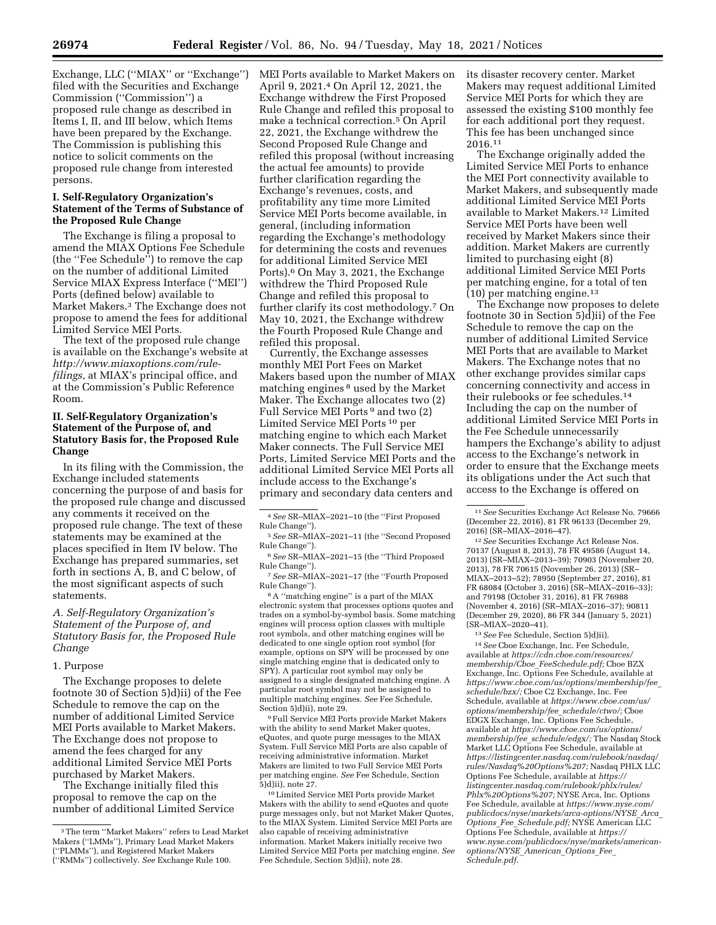Exchange, LLC (''MIAX'' or ''Exchange'') filed with the Securities and Exchange Commission (''Commission'') a proposed rule change as described in Items I, II, and III below, which Items have been prepared by the Exchange. The Commission is publishing this notice to solicit comments on the proposed rule change from interested persons.

### **I. Self-Regulatory Organization's Statement of the Terms of Substance of the Proposed Rule Change**

The Exchange is filing a proposal to amend the MIAX Options Fee Schedule (the ''Fee Schedule'') to remove the cap on the number of additional Limited Service MIAX Express Interface (''MEI'') Ports (defined below) available to Market Makers.3 The Exchange does not propose to amend the fees for additional Limited Service MEI Ports.

The text of the proposed rule change is available on the Exchange's website at *[http://www.miaxoptions.com/rule](http://www.miaxoptions.com/rule-filings)[filings,](http://www.miaxoptions.com/rule-filings)* at MIAX's principal office, and at the Commission's Public Reference Room.

# **II. Self-Regulatory Organization's Statement of the Purpose of, and Statutory Basis for, the Proposed Rule Change**

In its filing with the Commission, the Exchange included statements concerning the purpose of and basis for the proposed rule change and discussed any comments it received on the proposed rule change. The text of these statements may be examined at the places specified in Item IV below. The Exchange has prepared summaries, set forth in sections A, B, and C below, of the most significant aspects of such statements.

# *A. Self-Regulatory Organization's Statement of the Purpose of, and Statutory Basis for, the Proposed Rule Change*

### 1. Purpose

The Exchange proposes to delete footnote 30 of Section 5)d)ii) of the Fee Schedule to remove the cap on the number of additional Limited Service MEI Ports available to Market Makers. The Exchange does not propose to amend the fees charged for any additional Limited Service MEI Ports purchased by Market Makers.

The Exchange initially filed this proposal to remove the cap on the number of additional Limited Service MEI Ports available to Market Makers on April 9, 2021.4 On April 12, 2021, the Exchange withdrew the First Proposed Rule Change and refiled this proposal to make a technical correction.5 On April 22, 2021, the Exchange withdrew the Second Proposed Rule Change and refiled this proposal (without increasing the actual fee amounts) to provide further clarification regarding the Exchange's revenues, costs, and profitability any time more Limited Service MEI Ports become available, in general, (including information regarding the Exchange's methodology for determining the costs and revenues for additional Limited Service MEI Ports).6 On May 3, 2021, the Exchange withdrew the Third Proposed Rule Change and refiled this proposal to further clarify its cost methodology.7 On May 10, 2021, the Exchange withdrew the Fourth Proposed Rule Change and refiled this proposal.

Currently, the Exchange assesses monthly MEI Port Fees on Market Makers based upon the number of MIAX matching engines 8 used by the Market Maker. The Exchange allocates two (2) Full Service MEI Ports 9 and two (2) Limited Service MEI Ports 10 per matching engine to which each Market Maker connects. The Full Service MEI Ports, Limited Service MEI Ports and the additional Limited Service MEI Ports all include access to the Exchange's primary and secondary data centers and

7*See* SR–MIAX–2021–17 (the ''Fourth Proposed Rule Change'').

8A ''matching engine'' is a part of the MIAX electronic system that processes options quotes and trades on a symbol-by-symbol basis. Some matching engines will process option classes with multiple root symbols, and other matching engines will be dedicated to one single option root symbol (for example, options on SPY will be processed by one single matching engine that is dedicated only to SPY). A particular root symbol may only be assigned to a single designated matching engine. A particular root symbol may not be assigned to multiple matching engines. *See* Fee Schedule, Section 5)d)ii), note 29.

9Full Service MEI Ports provide Market Makers with the ability to send Market Maker quotes eQuotes, and quote purge messages to the MIAX System. Full Service MEI Ports are also capable of receiving administrative information. Market Makers are limited to two Full Service MEI Ports per matching engine. *See* Fee Schedule, Section 5)d)ii), note 27.

10Limited Service MEI Ports provide Market Makers with the ability to send eQuotes and quote purge messages only, but not Market Maker Quotes, to the MIAX System. Limited Service MEI Ports are also capable of receiving administrative information. Market Makers initially receive two Limited Service MEI Ports per matching engine. *See*  Fee Schedule, Section 5)d)ii), note 28.

its disaster recovery center. Market Makers may request additional Limited Service MEI Ports for which they are assessed the existing \$100 monthly fee for each additional port they request. This fee has been unchanged since 2016.11

The Exchange originally added the Limited Service MEI Ports to enhance the MEI Port connectivity available to Market Makers, and subsequently made additional Limited Service MEI Ports available to Market Makers.12 Limited Service MEI Ports have been well received by Market Makers since their addition. Market Makers are currently limited to purchasing eight (8) additional Limited Service MEI Ports per matching engine, for a total of ten  $(10)$  per matching engine.<sup>13</sup>

The Exchange now proposes to delete footnote 30 in Section 5)d)ii) of the Fee Schedule to remove the cap on the number of additional Limited Service MEI Ports that are available to Market Makers. The Exchange notes that no other exchange provides similar caps concerning connectivity and access in their rulebooks or fee schedules.14 Including the cap on the number of additional Limited Service MEI Ports in the Fee Schedule unnecessarily hampers the Exchange's ability to adjust access to the Exchange's network in order to ensure that the Exchange meets its obligations under the Act such that access to the Exchange is offered on

12*See* Securities Exchange Act Release Nos. 70137 (August 8, 2013), 78 FR 49586 (August 14, 2013) (SR–MIAX–2013–39); 70903 (November 20, 2013), 78 FR 70615 (November 26, 2013) (SR– MIAX–2013–52); 78950 (September 27, 2016), 81 FR 68084 (October 3, 2016) (SR–MIAX–2016–33); and 79198 (October 31, 2016), 81 FR 76988 (November 4, 2016) (SR–MIAX–2016–37); 90811 (December 29, 2020), 86 FR 344 (January 5, 2021) (SR–MIAX–2020–41).

14*See* Cboe Exchange, Inc. Fee Schedule, available at *[https://cdn.cboe.com/resources/](https://cdn.cboe.com/resources/membership/Cboe_FeeSchedule.pdf) [membership/Cboe](https://cdn.cboe.com/resources/membership/Cboe_FeeSchedule.pdf)*\_*FeeSchedule.pdf;* Cboe BZX Exchange, Inc. Options Fee Schedule, available at *[https://www.cboe.com/us/options/membership/fee](https://www.cboe.com/us/options/membership/fee_schedule/bzx/)*\_ *[schedule/bzx/;](https://www.cboe.com/us/options/membership/fee_schedule/bzx/)* Cboe C2 Exchange, Inc. Fee Schedule, available at *[https://www.cboe.com/us/](https://www.cboe.com/us/options/membership/fee_schedule/ctwo/) [options/membership/fee](https://www.cboe.com/us/options/membership/fee_schedule/ctwo/)*\_*schedule/ctwo/;* Cboe EDGX Exchange, Inc. Options Fee Schedule, available at *[https://www.cboe.com/us/options/](https://www.cboe.com/us/options/membership/fee_schedule/edgx/)  [membership/fee](https://www.cboe.com/us/options/membership/fee_schedule/edgx/)*\_*schedule/edgx/;* The Nasdaq Stock Market LLC Options Fee Schedule, available at *[https://listingcenter.nasdaq.com/rulebook/nasdaq/](https://listingcenter.nasdaq.com/rulebook/nasdaq/rules/Nasdaq%20Options%207) [rules/Nasdaq%20Options%207;](https://listingcenter.nasdaq.com/rulebook/nasdaq/rules/Nasdaq%20Options%207)* Nasdaq PHLX LLC Options Fee Schedule, available at *[https://](https://listingcenter.nasdaq.com/rulebook/phlx/rules/Phlx%20Options%207) [listingcenter.nasdaq.com/rulebook/phlx/rules/](https://listingcenter.nasdaq.com/rulebook/phlx/rules/Phlx%20Options%207) [Phlx%20Options%207;](https://listingcenter.nasdaq.com/rulebook/phlx/rules/Phlx%20Options%207)* NYSE Arca, Inc. Options Fee Schedule, available at *[https://www.nyse.com/](https://www.nyse.com/publicdocs/nyse/markets/arca-options/NYSE_Arca_Options_Fee_Schedule.pdf)  [publicdocs/nyse/markets/arca-options/NYSE](https://www.nyse.com/publicdocs/nyse/markets/arca-options/NYSE_Arca_Options_Fee_Schedule.pdf)*\_*Arca*\_ *Options*\_*Fee*\_*[Schedule.pdf;](https://www.nyse.com/publicdocs/nyse/markets/arca-options/NYSE_Arca_Options_Fee_Schedule.pdf)* NYSE American LLC Options Fee Schedule, available at *[https://](https://www.nyse.com/publicdocs/nyse/markets/american-options/NYSE_American_Options_Fee_Schedule.pdf) [www.nyse.com/publicdocs/nyse/markets/american](https://www.nyse.com/publicdocs/nyse/markets/american-options/NYSE_American_Options_Fee_Schedule.pdf)[options/NYSE](https://www.nyse.com/publicdocs/nyse/markets/american-options/NYSE_American_Options_Fee_Schedule.pdf)*\_*American*\_*Options*\_*Fee*\_ *[Schedule.pdf.](https://www.nyse.com/publicdocs/nyse/markets/american-options/NYSE_American_Options_Fee_Schedule.pdf)* 

<sup>3</sup>The term ''Market Makers'' refers to Lead Market Makers (''LMMs''), Primary Lead Market Makers (''PLMMs''), and Registered Market Makers (''RMMs'') collectively. *See* Exchange Rule 100.

<sup>4</sup>*See* SR–MIAX–2021–10 (the ''First Proposed Rule Change'').

<sup>5</sup>*See* SR–MIAX–2021–11 (the ''Second Proposed Rule Change'').

<sup>6</sup>*See* SR–MIAX–2021–15 (the ''Third Proposed Rule Change'').

<sup>11</sup>*See* Securities Exchange Act Release No. 79666 (December 22, 2016), 81 FR 96133 (December 29, 2016) (SR–MIAX–2016–47).

<sup>13</sup>*See* Fee Schedule, Section 5)d)ii).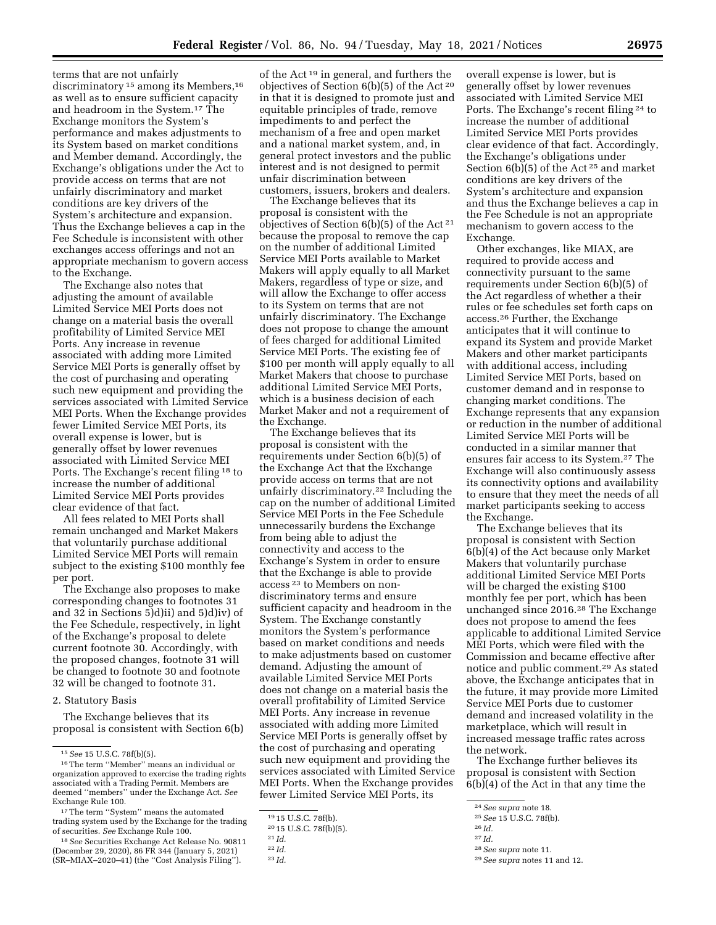terms that are not unfairly discriminatory<sup>15</sup> among its Members,<sup>16</sup> as well as to ensure sufficient capacity and headroom in the System.17 The Exchange monitors the System's performance and makes adjustments to its System based on market conditions and Member demand. Accordingly, the Exchange's obligations under the Act to provide access on terms that are not unfairly discriminatory and market conditions are key drivers of the System's architecture and expansion. Thus the Exchange believes a cap in the Fee Schedule is inconsistent with other exchanges access offerings and not an appropriate mechanism to govern access to the Exchange.

The Exchange also notes that adjusting the amount of available Limited Service MEI Ports does not change on a material basis the overall profitability of Limited Service MEI Ports. Any increase in revenue associated with adding more Limited Service MEI Ports is generally offset by the cost of purchasing and operating such new equipment and providing the services associated with Limited Service MEI Ports. When the Exchange provides fewer Limited Service MEI Ports, its overall expense is lower, but is generally offset by lower revenues associated with Limited Service MEI Ports. The Exchange's recent filing 18 to increase the number of additional Limited Service MEI Ports provides clear evidence of that fact.

All fees related to MEI Ports shall remain unchanged and Market Makers that voluntarily purchase additional Limited Service MEI Ports will remain subject to the existing \$100 monthly fee per port.

The Exchange also proposes to make corresponding changes to footnotes 31 and 32 in Sections 5)d)ii) and 5)d)iv) of the Fee Schedule, respectively, in light of the Exchange's proposal to delete current footnote 30. Accordingly, with the proposed changes, footnote 31 will be changed to footnote 30 and footnote 32 will be changed to footnote 31.

#### 2. Statutory Basis

The Exchange believes that its proposal is consistent with Section 6(b)

18*See* Securities Exchange Act Release No. 90811 (December 29, 2020), 86 FR 344 (January 5, 2021) (SR–MIAX–2020–41) (the ''Cost Analysis Filing'').

of the Act 19 in general, and furthers the objectives of Section 6(b)(5) of the Act 20 in that it is designed to promote just and equitable principles of trade, remove impediments to and perfect the mechanism of a free and open market and a national market system, and, in general protect investors and the public interest and is not designed to permit unfair discrimination between customers, issuers, brokers and dealers.

The Exchange believes that its proposal is consistent with the objectives of Section 6(b)(5) of the Act 21 because the proposal to remove the cap on the number of additional Limited Service MEI Ports available to Market Makers will apply equally to all Market Makers, regardless of type or size, and will allow the Exchange to offer access to its System on terms that are not unfairly discriminatory. The Exchange does not propose to change the amount of fees charged for additional Limited Service MEI Ports. The existing fee of \$100 per month will apply equally to all Market Makers that choose to purchase additional Limited Service MEI Ports, which is a business decision of each Market Maker and not a requirement of the Exchange.

The Exchange believes that its proposal is consistent with the requirements under Section 6(b)(5) of the Exchange Act that the Exchange provide access on terms that are not unfairly discriminatory.22 Including the cap on the number of additional Limited Service MEI Ports in the Fee Schedule unnecessarily burdens the Exchange from being able to adjust the connectivity and access to the Exchange's System in order to ensure that the Exchange is able to provide access 23 to Members on nondiscriminatory terms and ensure sufficient capacity and headroom in the System. The Exchange constantly monitors the System's performance based on market conditions and needs to make adjustments based on customer demand. Adjusting the amount of available Limited Service MEI Ports does not change on a material basis the overall profitability of Limited Service MEI Ports. Any increase in revenue associated with adding more Limited Service MEI Ports is generally offset by the cost of purchasing and operating such new equipment and providing the services associated with Limited Service MEI Ports. When the Exchange provides fewer Limited Service MEI Ports, its

overall expense is lower, but is generally offset by lower revenues associated with Limited Service MEI Ports. The Exchange's recent filing 24 to increase the number of additional Limited Service MEI Ports provides clear evidence of that fact. Accordingly, the Exchange's obligations under Section 6(b)(5) of the Act 25 and market conditions are key drivers of the System's architecture and expansion and thus the Exchange believes a cap in the Fee Schedule is not an appropriate mechanism to govern access to the Exchange.

Other exchanges, like MIAX, are required to provide access and connectivity pursuant to the same requirements under Section 6(b)(5) of the Act regardless of whether a their rules or fee schedules set forth caps on access.26 Further, the Exchange anticipates that it will continue to expand its System and provide Market Makers and other market participants with additional access, including Limited Service MEI Ports, based on customer demand and in response to changing market conditions. The Exchange represents that any expansion or reduction in the number of additional Limited Service MEI Ports will be conducted in a similar manner that ensures fair access to its System.27 The Exchange will also continuously assess its connectivity options and availability to ensure that they meet the needs of all market participants seeking to access the Exchange.

The Exchange believes that its proposal is consistent with Section  $6(b)(4)$  of the Act because only Market Makers that voluntarily purchase additional Limited Service MEI Ports will be charged the existing \$100 monthly fee per port, which has been unchanged since 2016.28 The Exchange does not propose to amend the fees applicable to additional Limited Service MEI Ports, which were filed with the Commission and became effective after notice and public comment.29 As stated above, the Exchange anticipates that in the future, it may provide more Limited Service MEI Ports due to customer demand and increased volatility in the marketplace, which will result in increased message traffic rates across the network.

The Exchange further believes its proposal is consistent with Section 6(b)(4) of the Act in that any time the

27 *Id.* 

<sup>15</sup>*See* 15 U.S.C. 78f(b)(5).

<sup>16</sup>The term ''Member'' means an individual or organization approved to exercise the trading rights associated with a Trading Permit. Members are deemed ''members'' under the Exchange Act. *See*  Exchange Rule 100.

<sup>17</sup>The term ''System'' means the automated trading system used by the Exchange for the trading of securities. *See* Exchange Rule 100.

<sup>19</sup> 15 U.S.C. 78f(b).

<sup>20</sup> 15 U.S.C. 78f(b)(5).

<sup>21</sup> *Id.* 

<sup>22</sup> *Id.* 

<sup>23</sup> *Id.* 

<sup>24</sup>*See supra* note 18.

<sup>25</sup>*See* 15 U.S.C. 78f(b).

<sup>26</sup> *Id.* 

<sup>28</sup>*See supra* note 11.

<sup>29</sup>*See supra* notes 11 and 12.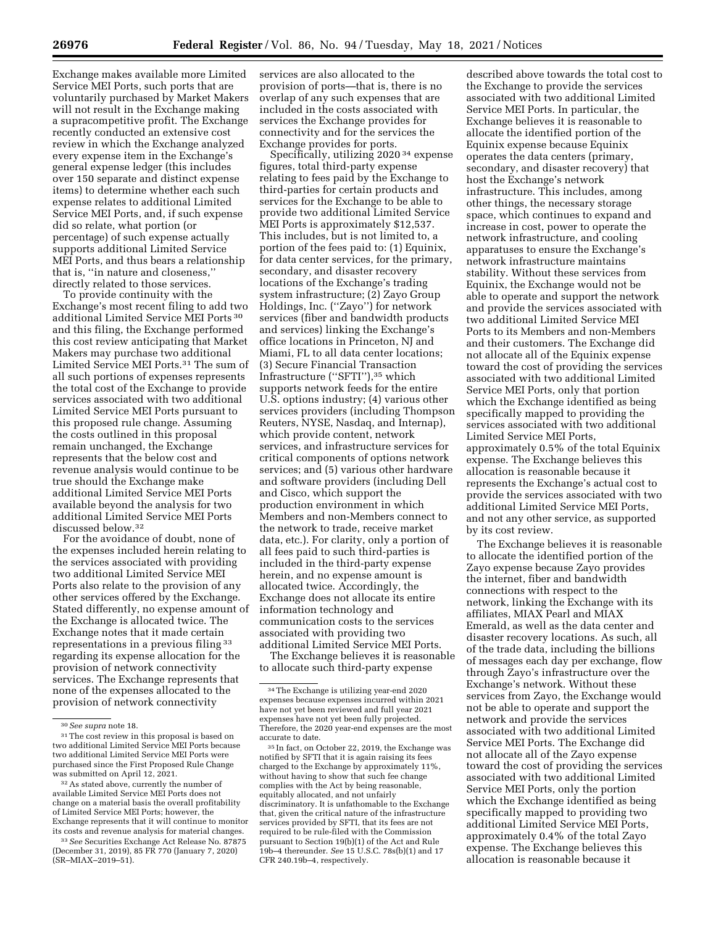Exchange makes available more Limited Service MEI Ports, such ports that are voluntarily purchased by Market Makers will not result in the Exchange making a supracompetitive profit. The Exchange recently conducted an extensive cost review in which the Exchange analyzed every expense item in the Exchange's general expense ledger (this includes over 150 separate and distinct expense items) to determine whether each such expense relates to additional Limited Service MEI Ports, and, if such expense did so relate, what portion (or percentage) of such expense actually supports additional Limited Service MEI Ports, and thus bears a relationship that is, ''in nature and closeness,'' directly related to those services.

To provide continuity with the Exchange's most recent filing to add two additional Limited Service MEI Ports 30 and this filing, the Exchange performed this cost review anticipating that Market Makers may purchase two additional Limited Service MEI Ports.31 The sum of all such portions of expenses represents the total cost of the Exchange to provide services associated with two additional Limited Service MEI Ports pursuant to this proposed rule change. Assuming the costs outlined in this proposal remain unchanged, the Exchange represents that the below cost and revenue analysis would continue to be true should the Exchange make additional Limited Service MEI Ports available beyond the analysis for two additional Limited Service MEI Ports discussed below.32

For the avoidance of doubt, none of the expenses included herein relating to the services associated with providing two additional Limited Service MEI Ports also relate to the provision of any other services offered by the Exchange. Stated differently, no expense amount of the Exchange is allocated twice. The Exchange notes that it made certain representations in a previous filing 33 regarding its expense allocation for the provision of network connectivity services. The Exchange represents that none of the expenses allocated to the provision of network connectivity

32As stated above, currently the number of available Limited Service MEI Ports does not change on a material basis the overall profitability of Limited Service MEI Ports; however, the Exchange represents that it will continue to monitor its costs and revenue analysis for material changes.

33*See* Securities Exchange Act Release No. 87875 (December 31, 2019), 85 FR 770 (January 7, 2020) (SR–MIAX–2019–51).

services are also allocated to the provision of ports—that is, there is no overlap of any such expenses that are included in the costs associated with services the Exchange provides for connectivity and for the services the Exchange provides for ports.

Specifically, utilizing 2020 34 expense figures, total third-party expense relating to fees paid by the Exchange to third-parties for certain products and services for the Exchange to be able to provide two additional Limited Service MEI Ports is approximately \$12,537. This includes, but is not limited to, a portion of the fees paid to: (1) Equinix, for data center services, for the primary, secondary, and disaster recovery locations of the Exchange's trading system infrastructure; (2) Zayo Group Holdings, Inc. (''Zayo'') for network services (fiber and bandwidth products and services) linking the Exchange's office locations in Princeton, NJ and Miami, FL to all data center locations; (3) Secure Financial Transaction Infrastructure (''SFTI''),35 which supports network feeds for the entire U.S. options industry; (4) various other services providers (including Thompson Reuters, NYSE, Nasdaq, and Internap), which provide content, network services, and infrastructure services for critical components of options network services; and (5) various other hardware and software providers (including Dell and Cisco, which support the production environment in which Members and non-Members connect to the network to trade, receive market data, etc.). For clarity, only a portion of all fees paid to such third-parties is included in the third-party expense herein, and no expense amount is allocated twice. Accordingly, the Exchange does not allocate its entire information technology and communication costs to the services associated with providing two additional Limited Service MEI Ports.

The Exchange believes it is reasonable to allocate such third-party expense

35 In fact, on October 22, 2019, the Exchange was notified by SFTI that it is again raising its fees charged to the Exchange by approximately 11%, without having to show that such fee change complies with the Act by being reasonable, equitably allocated, and not unfairly discriminatory. It is unfathomable to the Exchange that, given the critical nature of the infrastructure services provided by SFTI, that its fees are not required to be rule-filed with the Commission pursuant to Section 19(b)(1) of the Act and Rule 19b–4 thereunder. *See* 15 U.S.C. 78s(b)(1) and 17 CFR 240.19b–4, respectively.

described above towards the total cost to the Exchange to provide the services associated with two additional Limited Service MEI Ports. In particular, the Exchange believes it is reasonable to allocate the identified portion of the Equinix expense because Equinix operates the data centers (primary, secondary, and disaster recovery) that host the Exchange's network infrastructure. This includes, among other things, the necessary storage space, which continues to expand and increase in cost, power to operate the network infrastructure, and cooling apparatuses to ensure the Exchange's network infrastructure maintains stability. Without these services from Equinix, the Exchange would not be able to operate and support the network and provide the services associated with two additional Limited Service MEI Ports to its Members and non-Members and their customers. The Exchange did not allocate all of the Equinix expense toward the cost of providing the services associated with two additional Limited Service MEI Ports, only that portion which the Exchange identified as being specifically mapped to providing the services associated with two additional Limited Service MEI Ports, approximately 0.5% of the total Equinix expense. The Exchange believes this allocation is reasonable because it represents the Exchange's actual cost to provide the services associated with two additional Limited Service MEI Ports, and not any other service, as supported by its cost review.

The Exchange believes it is reasonable to allocate the identified portion of the Zayo expense because Zayo provides the internet, fiber and bandwidth connections with respect to the network, linking the Exchange with its affiliates, MIAX Pearl and MIAX Emerald, as well as the data center and disaster recovery locations. As such, all of the trade data, including the billions of messages each day per exchange, flow through Zayo's infrastructure over the Exchange's network. Without these services from Zayo, the Exchange would not be able to operate and support the network and provide the services associated with two additional Limited Service MEI Ports. The Exchange did not allocate all of the Zayo expense toward the cost of providing the services associated with two additional Limited Service MEI Ports, only the portion which the Exchange identified as being specifically mapped to providing two additional Limited Service MEI Ports, approximately 0.4% of the total Zayo expense. The Exchange believes this allocation is reasonable because it

<sup>30</sup>*See supra* note 18.

<sup>&</sup>lt;sup>31</sup>The cost review in this proposal is based on two additional Limited Service MEI Ports because two additional Limited Service MEI Ports were purchased since the First Proposed Rule Change was submitted on April 12, 2021.

<sup>34</sup>The Exchange is utilizing year-end 2020 expenses because expenses incurred within 2021 have not yet been reviewed and full year 2021 expenses have not yet been fully projected. Therefore, the 2020 year-end expenses are the most accurate to date.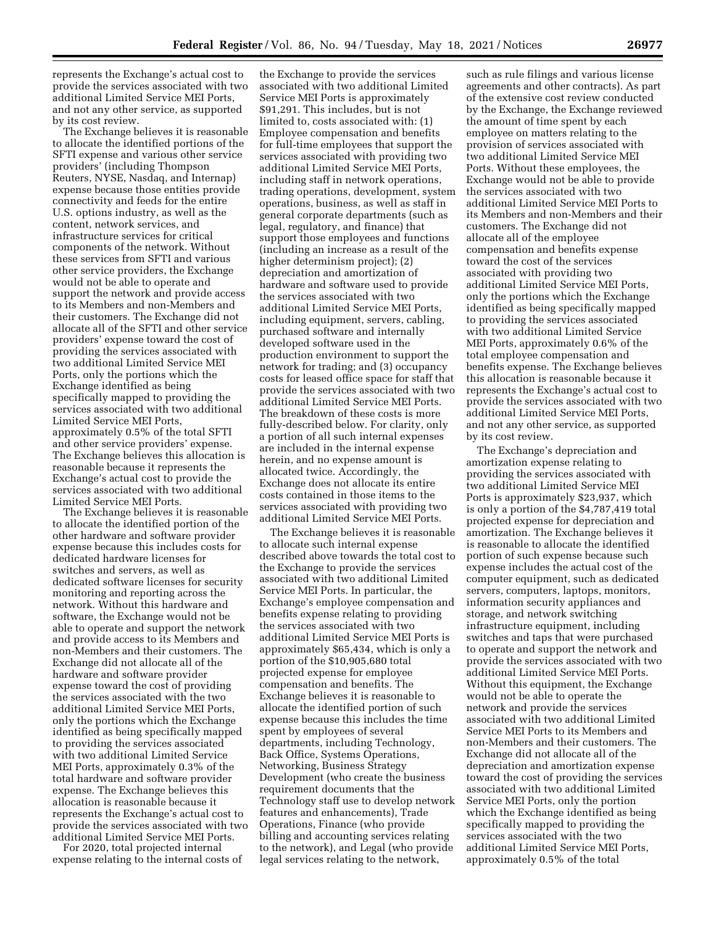represents the Exchange's actual cost to provide the services associated with two additional Limited Service MEI Ports, and not any other service, as supported by its cost review.

The Exchange believes it is reasonable to allocate the identified portions of the SFTI expense and various other service providers' (including Thompson Reuters, NYSE, Nasdaq, and Internap) expense because those entities provide connectivity and feeds for the entire U.S. options industry, as well as the content, network services, and infrastructure services for critical components of the network. Without these services from SFTI and various other service providers, the Exchange would not be able to operate and support the network and provide access to its Members and non-Members and their customers. The Exchange did not allocate all of the SFTI and other service providers' expense toward the cost of providing the services associated with two additional Limited Service MEI Ports, only the portions which the Exchange identified as being specifically mapped to providing the services associated with two additional Limited Service MEI Ports, approximately 0.5% of the total SFTI and other service providers' expense. The Exchange believes this allocation is reasonable because it represents the Exchange's actual cost to provide the services associated with two additional Limited Service MEI Ports.

The Exchange believes it is reasonable to allocate the identified portion of the other hardware and software provider expense because this includes costs for dedicated hardware licenses for switches and servers, as well as dedicated software licenses for security monitoring and reporting across the network. Without this hardware and software, the Exchange would not be able to operate and support the network and provide access to its Members and non-Members and their customers. The Exchange did not allocate all of the hardware and software provider expense toward the cost of providing the services associated with the two additional Limited Service MEI Ports, only the portions which the Exchange identified as being specifically mapped to providing the services associated with two additional Limited Service MEI Ports, approximately 0.3% of the total hardware and software provider expense. The Exchange believes this allocation is reasonable because it represents the Exchange's actual cost to provide the services associated with two additional Limited Service MEI Ports.

For 2020, total projected internal expense relating to the internal costs of

the Exchange to provide the services associated with two additional Limited Service MEI Ports is approximately \$91,291. This includes, but is not limited to, costs associated with: (1) Employee compensation and benefits for full-time employees that support the services associated with providing two additional Limited Service MEI Ports, including staff in network operations, trading operations, development, system operations, business, as well as staff in general corporate departments (such as legal, regulatory, and finance) that support those employees and functions (including an increase as a result of the higher determinism project); (2) depreciation and amortization of hardware and software used to provide the services associated with two additional Limited Service MEI Ports, including equipment, servers, cabling, purchased software and internally developed software used in the production environment to support the network for trading; and (3) occupancy costs for leased office space for staff that provide the services associated with two additional Limited Service MEI Ports. The breakdown of these costs is more fully-described below. For clarity, only a portion of all such internal expenses are included in the internal expense herein, and no expense amount is allocated twice. Accordingly, the Exchange does not allocate its entire costs contained in those items to the services associated with providing two additional Limited Service MEI Ports.

The Exchange believes it is reasonable to allocate such internal expense described above towards the total cost to the Exchange to provide the services associated with two additional Limited Service MEI Ports. In particular, the Exchange's employee compensation and benefits expense relating to providing the services associated with two additional Limited Service MEI Ports is approximately \$65,434, which is only a portion of the \$10,905,680 total projected expense for employee compensation and benefits. The Exchange believes it is reasonable to allocate the identified portion of such expense because this includes the time spent by employees of several departments, including Technology, Back Office, Systems Operations, Networking, Business Strategy Development (who create the business requirement documents that the Technology staff use to develop network features and enhancements), Trade Operations, Finance (who provide billing and accounting services relating to the network), and Legal (who provide legal services relating to the network,

such as rule filings and various license agreements and other contracts). As part of the extensive cost review conducted by the Exchange, the Exchange reviewed the amount of time spent by each employee on matters relating to the provision of services associated with two additional Limited Service MEI Ports. Without these employees, the Exchange would not be able to provide the services associated with two additional Limited Service MEI Ports to its Members and non-Members and their customers. The Exchange did not allocate all of the employee compensation and benefits expense toward the cost of the services associated with providing two additional Limited Service MEI Ports, only the portions which the Exchange identified as being specifically mapped to providing the services associated with two additional Limited Service MEI Ports, approximately 0.6% of the total employee compensation and benefits expense. The Exchange believes this allocation is reasonable because it represents the Exchange's actual cost to provide the services associated with two additional Limited Service MEI Ports, and not any other service, as supported by its cost review.

The Exchange's depreciation and amortization expense relating to providing the services associated with two additional Limited Service MEI Ports is approximately \$23,937, which is only a portion of the \$4,787,419 total projected expense for depreciation and amortization. The Exchange believes it is reasonable to allocate the identified portion of such expense because such expense includes the actual cost of the computer equipment, such as dedicated servers, computers, laptops, monitors, information security appliances and storage, and network switching infrastructure equipment, including switches and taps that were purchased to operate and support the network and provide the services associated with two additional Limited Service MEI Ports. Without this equipment, the Exchange would not be able to operate the network and provide the services associated with two additional Limited Service MEI Ports to its Members and non-Members and their customers. The Exchange did not allocate all of the depreciation and amortization expense toward the cost of providing the services associated with two additional Limited Service MEI Ports, only the portion which the Exchange identified as being specifically mapped to providing the services associated with the two additional Limited Service MEI Ports, approximately 0.5% of the total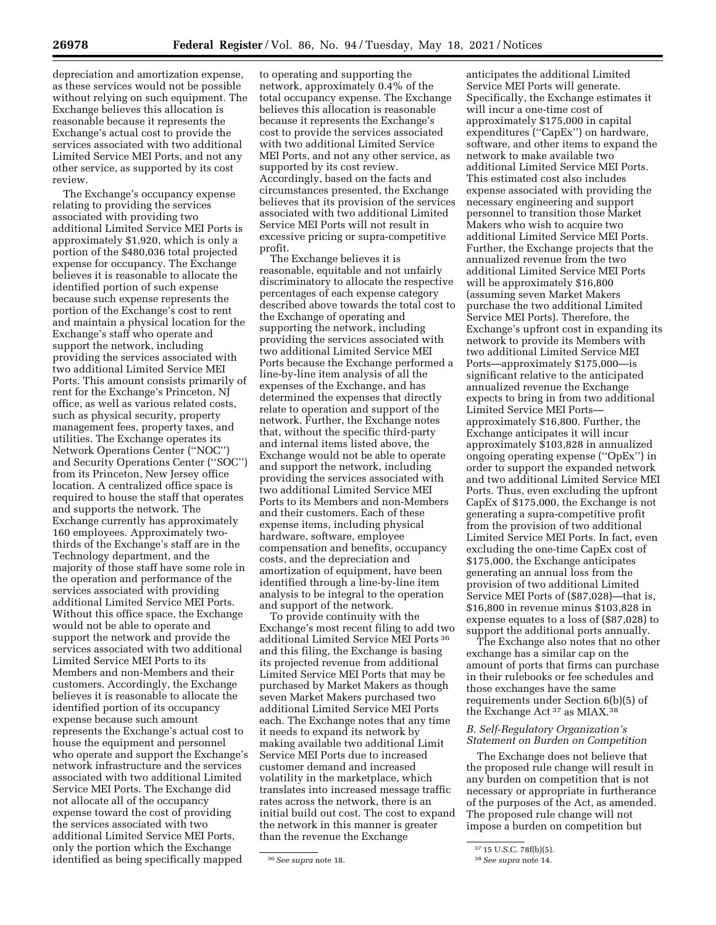depreciation and amortization expense, as these services would not be possible without relying on such equipment. The Exchange believes this allocation is reasonable because it represents the Exchange's actual cost to provide the services associated with two additional Limited Service MEI Ports, and not any other service, as supported by its cost review.

The Exchange's occupancy expense relating to providing the services associated with providing two additional Limited Service MEI Ports is approximately \$1,920, which is only a portion of the \$480,036 total projected expense for occupancy. The Exchange believes it is reasonable to allocate the identified portion of such expense because such expense represents the portion of the Exchange's cost to rent and maintain a physical location for the Exchange's staff who operate and support the network, including providing the services associated with two additional Limited Service MEI Ports. This amount consists primarily of rent for the Exchange's Princeton, NJ office, as well as various related costs, such as physical security, property management fees, property taxes, and utilities. The Exchange operates its Network Operations Center (''NOC'') and Security Operations Center (''SOC'') from its Princeton, New Jersey office location. A centralized office space is required to house the staff that operates and supports the network. The Exchange currently has approximately 160 employees. Approximately twothirds of the Exchange's staff are in the Technology department, and the majority of those staff have some role in the operation and performance of the services associated with providing additional Limited Service MEI Ports. Without this office space, the Exchange would not be able to operate and support the network and provide the services associated with two additional Limited Service MEI Ports to its Members and non-Members and their customers. Accordingly, the Exchange believes it is reasonable to allocate the identified portion of its occupancy expense because such amount represents the Exchange's actual cost to house the equipment and personnel who operate and support the Exchange's network infrastructure and the services associated with two additional Limited Service MEI Ports. The Exchange did not allocate all of the occupancy expense toward the cost of providing the services associated with two additional Limited Service MEI Ports, only the portion which the Exchange identified as being specifically mapped

to operating and supporting the network, approximately 0.4% of the total occupancy expense. The Exchange believes this allocation is reasonable because it represents the Exchange's cost to provide the services associated with two additional Limited Service MEI Ports, and not any other service, as supported by its cost review. Accordingly, based on the facts and circumstances presented, the Exchange believes that its provision of the services associated with two additional Limited Service MEI Ports will not result in excessive pricing or supra-competitive profit.

The Exchange believes it is reasonable, equitable and not unfairly discriminatory to allocate the respective percentages of each expense category described above towards the total cost to the Exchange of operating and supporting the network, including providing the services associated with two additional Limited Service MEI Ports because the Exchange performed a line-by-line item analysis of all the expenses of the Exchange, and has determined the expenses that directly relate to operation and support of the network. Further, the Exchange notes that, without the specific third-party and internal items listed above, the Exchange would not be able to operate and support the network, including providing the services associated with two additional Limited Service MEI Ports to its Members and non-Members and their customers. Each of these expense items, including physical hardware, software, employee compensation and benefits, occupancy costs, and the depreciation and amortization of equipment, have been identified through a line-by-line item analysis to be integral to the operation and support of the network.

To provide continuity with the Exchange's most recent filing to add two additional Limited Service MEI Ports 36 and this filing, the Exchange is basing its projected revenue from additional Limited Service MEI Ports that may be purchased by Market Makers as though seven Market Makers purchased two additional Limited Service MEI Ports each. The Exchange notes that any time it needs to expand its network by making available two additional Limit Service MEI Ports due to increased customer demand and increased volatility in the marketplace, which translates into increased message traffic rates across the network, there is an initial build out cost. The cost to expand the network in this manner is greater than the revenue the Exchange

anticipates the additional Limited Service MEI Ports will generate. Specifically, the Exchange estimates it will incur a one-time cost of approximately \$175,000 in capital expenditures (''CapEx'') on hardware, software, and other items to expand the network to make available two additional Limited Service MEI Ports. This estimated cost also includes expense associated with providing the necessary engineering and support personnel to transition those Market Makers who wish to acquire two additional Limited Service MEI Ports. Further, the Exchange projects that the annualized revenue from the two additional Limited Service MEI Ports will be approximately \$16,800 (assuming seven Market Makers purchase the two additional Limited Service MEI Ports). Therefore, the Exchange's upfront cost in expanding its network to provide its Members with two additional Limited Service MEI Ports—approximately \$175,000—is significant relative to the anticipated annualized revenue the Exchange expects to bring in from two additional Limited Service MEI Ports approximately \$16,800. Further, the Exchange anticipates it will incur approximately \$103,828 in annualized ongoing operating expense (''OpEx'') in order to support the expanded network and two additional Limited Service MEI Ports. Thus, even excluding the upfront CapEx of \$175,000, the Exchange is not generating a supra-competitive profit from the provision of two additional Limited Service MEI Ports. In fact, even excluding the one-time CapEx cost of \$175,000, the Exchange anticipates generating an annual loss from the provision of two additional Limited Service MEI Ports of (\$87,028)—that is, \$16,800 in revenue minus \$103,828 in expense equates to a loss of (\$87,028) to support the additional ports annually.

The Exchange also notes that no other exchange has a similar cap on the amount of ports that firms can purchase in their rulebooks or fee schedules and those exchanges have the same requirements under Section 6(b)(5) of the Exchange Act 37 as MIAX.38

# *B. Self-Regulatory Organization's Statement on Burden on Competition*

The Exchange does not believe that the proposed rule change will result in any burden on competition that is not necessary or appropriate in furtherance of the purposes of the Act, as amended. The proposed rule change will not impose a burden on competition but

<sup>36</sup>*See supra* note 18.

<sup>37</sup> 15 U.S.C. 78f(b)(5).

<sup>38</sup>*See supra* note 14.